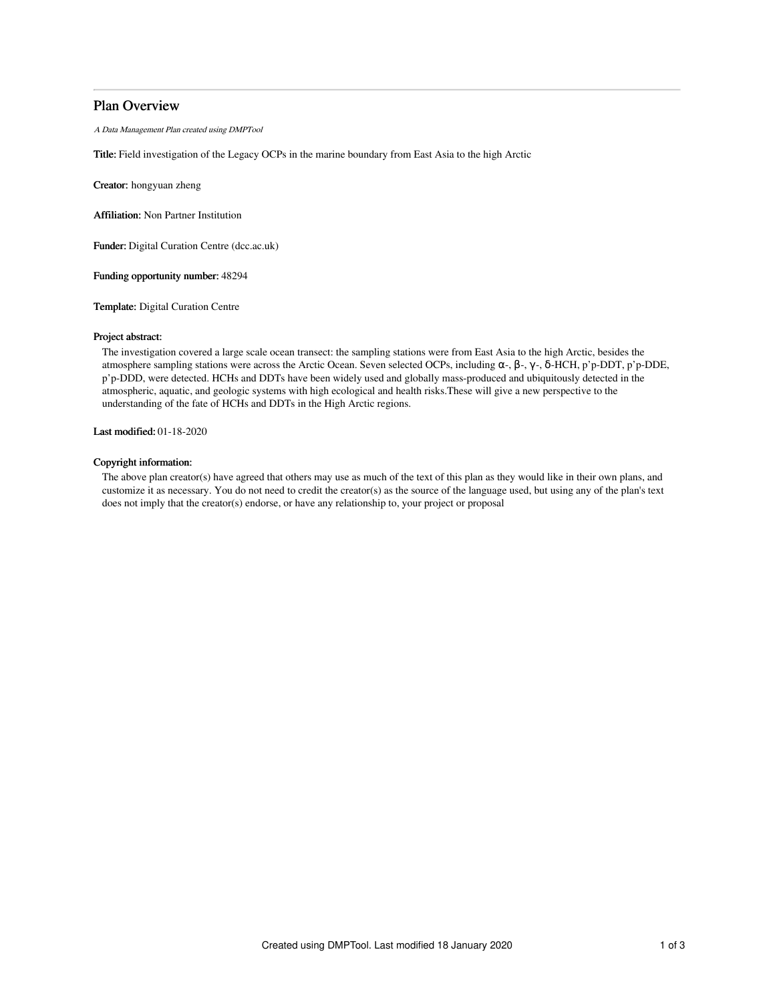# Plan Overview

A Data Management Plan created using DMPTool

Title: Field investigation of the Legacy OCPs in the marine boundary from East Asia to the high Arctic

Creator: hongyuan zheng

Affiliation: Non Partner Institution

Funder: Digital Curation Centre (dcc.ac.uk)

Funding opportunity number: 48294

Template: Digital Curation Centre

### Project abstract:

The investigation covered a large scale ocean transect: the sampling stations were from East Asia to the high Arctic, besides the atmosphere sampling stations were across the Arctic Ocean. Seven selected OCPs, including α-, β-, γ-, δ-HCH, p'p-DDT, p'p-DDE, p'p-DDD, were detected. HCHs and DDTs have been widely used and globally mass-produced and ubiquitously detected in the atmospheric, aquatic, and geologic systems with high ecological and health risks.These will give a new perspective to the understanding of the fate of HCHs and DDTs in the High Arctic regions.

## Last modified: 01-18-2020

### Copyright information:

The above plan creator(s) have agreed that others may use as much of the text of this plan as they would like in their own plans, and customize it as necessary. You do not need to credit the creator(s) as the source of the language used, but using any of the plan's text does not imply that the creator(s) endorse, or have any relationship to, your project or proposal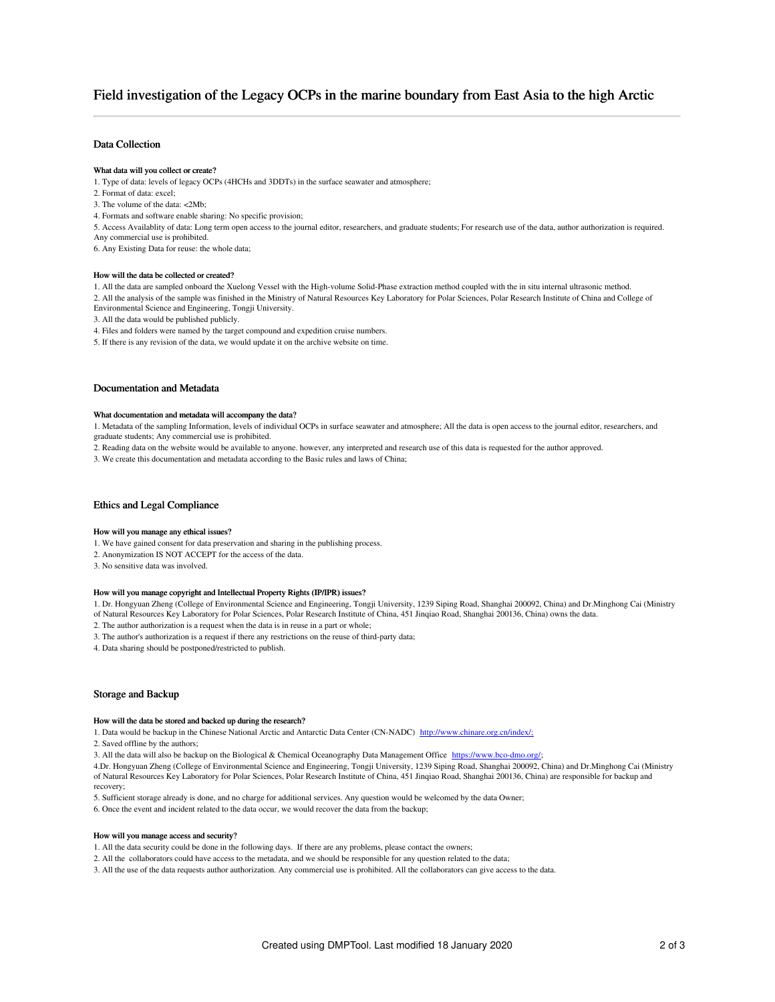# Field investigation of the Legacy OCPs in the marine boundary from East Asia to the high Arctic

### Data Collection

### What data will you collect or create?

1. Type of data: levels of legacy OCPs (4HCHs and 3DDTs) in the surface seawater and atmosphere;

- 2. Format of data: excel;
- 3. The volume of the data: <2Mb;
- 4. Formats and software enable sharing: No specific provision;

5. Access Availablity of data: Long term open access to the journal editor, researchers, and graduate students; For research use of the data, author authorization is required. Any commercial use is prohibited.

6. Any Existing Data for reuse: the whole data;

#### How will the data be collected or created?

1. All the data are sampled onboard the Xuelong Vessel with the High-volume Solid-Phase extraction method coupled with the in situ internal ultrasonic method.

2. All the analysis of the sample was finished in the Ministry of Natural Resources Key Laboratory for Polar Sciences, Polar Research Institute of China and College of Environmental Science and Engineering, Tongji University.

- 3. All the data would be published publicly.
- 4. Files and folders were named by the target compound and expedition cruise numbers.
- 5. If there is any revision of the data, we would update it on the archive website on time.

### Documentation and Metadata

#### What documentation and metadata will accompany the data?

1. Metadata of the sampling Information, levels of individual OCPs in surface seawater and atmosphere; All the data is open access to the journal editor, researchers, and graduate students; Any commercial use is prohibited.

2. Reading data on the website would be available to anyone. however, any interpreted and research use of this data is requested for the author approved.

3. We create this documentation and metadata according to the Basic rules and laws of China;

### Ethics and Legal Compliance

#### How will you manage any ethical issues?

- 1. We have gained consent for data preservation and sharing in the publishing process.
- 2. Anonymization IS NOT ACCEPT for the access of the data.

3. No sensitive data was involved.

### How will you manage copyright and Intellectual Property Rights (IP/IPR) issues?

1. Dr. Hongyuan Zheng (College of Environmental Science and Engineering, Tongji University, 1239 Siping Road, Shanghai 200092, China) and Dr.Minghong Cai (Ministry of Natural Resources Key Laboratory for Polar Sciences, Polar Research Institute of China, 451 Jinqiao Road, Shanghai 200136, China) owns the data.

- 2. The author authorization is a request when the data is in reuse in a part or whole;
- 
- 3. The author's authorization is a request if there any restrictions on the reuse of third-party data;
- 4. Data sharing should be postponed/restricted to publish.

### Storage and Backup

### How will the data be stored and backed up during the research?

- 1. Data would be backup in the Chinese National Arctic and Antarctic Data Center (CN-NADC) [http://www.chinare.org.cn/index/;](http://www.chinare.org.cn/index/)
- 2. Saved offline by the authors;
- 3. All the data will also be backup on the Biological & Chemical Oceanography Data Management Office <https://www.bco-dmo.org/>;

4.Dr. Hongyuan Zheng (College of Environmental Science and Engineering, Tongji University, 1239 Siping Road, Shanghai 200092, China) and Dr.Minghong Cai (Ministry of Natural Resources Key Laboratory for Polar Sciences, Polar Research Institute of China, 451 Jinqiao Road, Shanghai 200136, China) are responsible for backup and recovery;

- 5. Sufficient storage already is done, and no charge for additional services. Any question would be welcomed by the data Owner;
- 6. Once the event and incident related to the data occur, we would recover the data from the backup;

#### How will you manage access and security?

- 1. All the data security could be done in the following days. If there are any problems, please contact the owners;
- 2. All the collaborators could have access to the metadata, and we should be responsible for any question related to the data;
- 3. All the use of the data requests author authorization. Any commercial use is prohibited. All the collaborators can give access to the data.